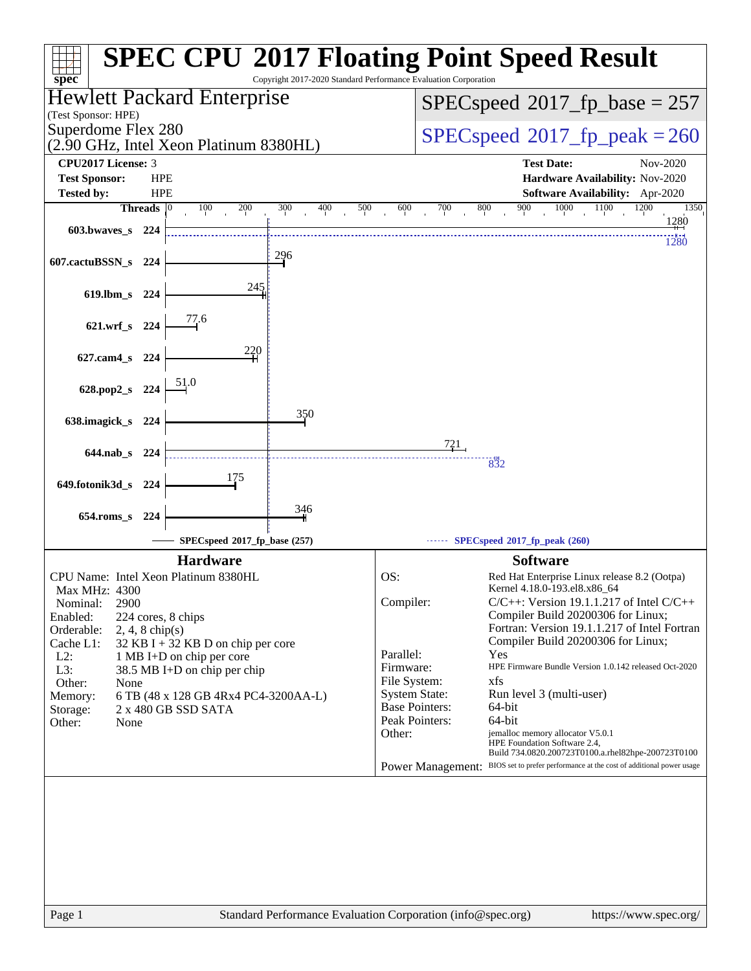| $spec^*$                                                          |                                                   |                                                           | Copyright 2017-2020 Standard Performance Evaluation Corporation |                                               |                 | <b>SPEC CPU®2017 Floating Point Speed Result</b>                                                                       |
|-------------------------------------------------------------------|---------------------------------------------------|-----------------------------------------------------------|-----------------------------------------------------------------|-----------------------------------------------|-----------------|------------------------------------------------------------------------------------------------------------------------|
|                                                                   | Hewlett Packard Enterprise<br>(Test Sponsor: HPE) |                                                           |                                                                 |                                               |                 | $SPEC speed^{\circ}2017\_fp\_base = 257$                                                                               |
| Superdome Flex 280<br>(2.90 GHz, Intel Xeon Platinum 8380HL)      |                                                   |                                                           |                                                                 |                                               |                 | $SPEC speed^{\circ}2017$ fp peak = 260                                                                                 |
| <b>CPU2017 License: 3</b>                                         |                                                   |                                                           |                                                                 |                                               |                 | <b>Test Date:</b><br>Nov-2020                                                                                          |
| <b>Test Sponsor:</b>                                              | <b>HPE</b>                                        |                                                           |                                                                 |                                               |                 | Hardware Availability: Nov-2020                                                                                        |
| <b>Tested by:</b><br>Threads $ 0 $                                | <b>HPE</b>                                        | 100<br>200                                                | 400<br>300<br>500                                               | 600                                           | 700             | Software Availability: Apr-2020<br>900<br>800<br>1000<br>1100<br>1200<br>1350                                          |
| 603.bwayes s 224                                                  |                                                   |                                                           |                                                                 |                                               |                 | 1280                                                                                                                   |
| 607.cactuBSSN_s                                                   | 224                                               |                                                           | 296                                                             |                                               |                 | 1280                                                                                                                   |
| $619$ .lbm_s<br>-224                                              |                                                   | 245                                                       |                                                                 |                                               |                 |                                                                                                                        |
| 621.wrf_s 224                                                     |                                                   | 77.6                                                      |                                                                 |                                               |                 |                                                                                                                        |
|                                                                   |                                                   | 220                                                       |                                                                 |                                               |                 |                                                                                                                        |
| 627.cam4_s 224                                                    |                                                   | 51.0                                                      |                                                                 |                                               |                 |                                                                                                                        |
| 628.pop2_s 224                                                    |                                                   |                                                           |                                                                 |                                               |                 |                                                                                                                        |
| 638.imagick_s<br>- 224                                            |                                                   |                                                           | 350                                                             |                                               |                 |                                                                                                                        |
| $644$ .nab s<br>224                                               |                                                   |                                                           |                                                                 |                                               | $\frac{721}{ }$ | 832                                                                                                                    |
| 649.fotonik3d_s 224                                               |                                                   | 175                                                       |                                                                 |                                               |                 |                                                                                                                        |
| 654.roms s 224                                                    |                                                   |                                                           | 346                                                             |                                               |                 |                                                                                                                        |
|                                                                   |                                                   | SPECspeed®2017_fp_base (257)                              |                                                                 |                                               |                 | SPECspeed®2017_fp_peak (260)                                                                                           |
|                                                                   |                                                   | <b>Hardware</b>                                           |                                                                 |                                               |                 | <b>Software</b>                                                                                                        |
| CPU Name: Intel Xeon Platinum 8380HL                              |                                                   |                                                           |                                                                 | OS:                                           |                 | Red Hat Enterprise Linux release 8.2 (Ootpa)                                                                           |
| Max MHz: 4300<br>2900<br>Nominal:                                 |                                                   |                                                           |                                                                 | Compiler:                                     |                 | Kernel 4.18.0-193.el8.x86 64<br>$C/C++$ : Version 19.1.1.217 of Intel $C/C++$                                          |
| Enabled:<br>224 cores, 8 chips<br>Orderable:<br>$2, 4, 8$ chip(s) |                                                   |                                                           |                                                                 |                                               |                 | Compiler Build 20200306 for Linux;<br>Fortran: Version 19.1.1.217 of Intel Fortran                                     |
| Cache L1:                                                         |                                                   | 32 KB I + 32 KB D on chip per core                        |                                                                 |                                               |                 | Compiler Build 20200306 for Linux;                                                                                     |
| $L2$ :<br>L3:                                                     |                                                   | 1 MB I+D on chip per core<br>38.5 MB I+D on chip per chip |                                                                 | Parallel:<br>Firmware:                        |                 | Yes<br>HPE Firmware Bundle Version 1.0.142 released Oct-2020                                                           |
| Other:<br>None                                                    |                                                   |                                                           |                                                                 | File System:                                  |                 | xfs                                                                                                                    |
| Memory:                                                           |                                                   | 6 TB (48 x 128 GB 4Rx4 PC4-3200AA-L)                      |                                                                 | <b>System State:</b><br><b>Base Pointers:</b> |                 | Run level 3 (multi-user)                                                                                               |
| Storage:<br>Other:<br>None                                        |                                                   | 2 x 480 GB SSD SATA                                       |                                                                 | Peak Pointers:                                |                 | 64-bit<br>64-bit                                                                                                       |
|                                                                   |                                                   |                                                           |                                                                 | Other:                                        |                 | jemalloc memory allocator V5.0.1<br>HPE Foundation Software 2.4,<br>Build 734.0820.200723T0100.a.rhel82hpe-200723T0100 |
|                                                                   |                                                   |                                                           |                                                                 |                                               |                 | Power Management: BIOS set to prefer performance at the cost of additional power usage                                 |
|                                                                   |                                                   |                                                           |                                                                 |                                               |                 |                                                                                                                        |
| Page 1                                                            |                                                   |                                                           | Standard Performance Evaluation Corporation (info@spec.org)     |                                               |                 | https://www.spec.org/                                                                                                  |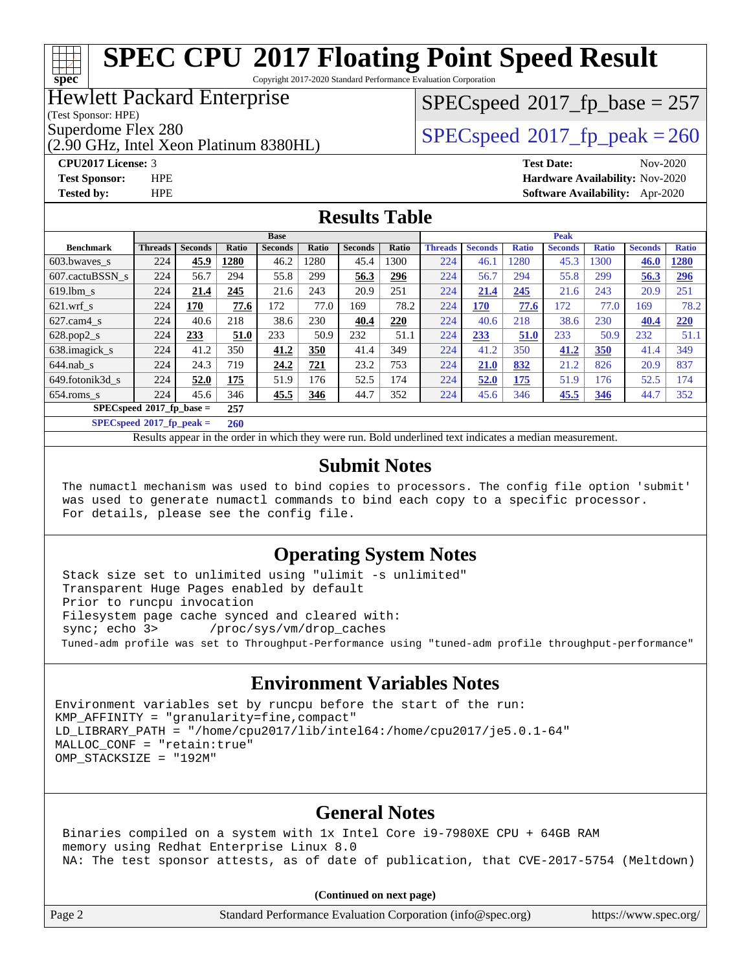Copyright 2017-2020 Standard Performance Evaluation Corporation

### Hewlett Packard Enterprise

(Test Sponsor: HPE)

**[spec](http://www.spec.org/)**

(2.90 GHz, Intel Xeon Platinum 8380HL)

**[Tested by:](http://www.spec.org/auto/cpu2017/Docs/result-fields.html#Testedby)** HPE **[Software Availability:](http://www.spec.org/auto/cpu2017/Docs/result-fields.html#SoftwareAvailability)** Apr-2020

# $SPEC speed$ <sup>®</sup> $2017$ \_fp\_base = 257

## Superdome Flex 280<br>  $\angle$  [SPECspeed](http://www.spec.org/auto/cpu2017/Docs/result-fields.html#SPECspeed2017fppeak)®2017 fp\_peak = 260

**[CPU2017 License:](http://www.spec.org/auto/cpu2017/Docs/result-fields.html#CPU2017License)** 3 **[Test Date:](http://www.spec.org/auto/cpu2017/Docs/result-fields.html#TestDate)** Nov-2020 **[Test Sponsor:](http://www.spec.org/auto/cpu2017/Docs/result-fields.html#TestSponsor)** HPE **[Hardware Availability:](http://www.spec.org/auto/cpu2017/Docs/result-fields.html#HardwareAvailability)** Nov-2020

### **[Results Table](http://www.spec.org/auto/cpu2017/Docs/result-fields.html#ResultsTable)**

|                                   | <b>Base</b>    |                |       |                |       | <b>Peak</b>    |       |                |                |              |                |              |                |              |
|-----------------------------------|----------------|----------------|-------|----------------|-------|----------------|-------|----------------|----------------|--------------|----------------|--------------|----------------|--------------|
| <b>Benchmark</b>                  | <b>Threads</b> | <b>Seconds</b> | Ratio | <b>Seconds</b> | Ratio | <b>Seconds</b> | Ratio | <b>Threads</b> | <b>Seconds</b> | <b>Ratio</b> | <b>Seconds</b> | <b>Ratio</b> | <b>Seconds</b> | <b>Ratio</b> |
| 603.bwayes s                      | 224            | 45.9           | 1280  | 46.2           | 1280  | 45.4           | 1300  | 224            | 46.1           | 1280         | 45.3           | 1300         | 46.0           | <b>1280</b>  |
| 607.cactuBSSN s                   | 224            | 56.7           | 294   | 55.8           | 299   | 56.3           | 296   | 224            | 56.7           | 294          | 55.8           | 299          | 56.3           | <u>296</u>   |
| $619.$ lbm s                      | 224            | 21.4           | 245   | 21.6           | 243   | 20.9           | 251   | 224            | 21.4           | 245          | 21.6           | 243          | 20.9           | 251          |
| $621$ wrf s                       | 224            | 170            | 77.6  | 172            | 77.0  | 169            | 78.2  | 224            | 170            | 77.6         | 172            | 77.0         | 169            | 78.2         |
| $627$ .cam $4 \text{ s}$          | 224            | 40.6           | 218   | 38.6           | 230   | 40.4           | 220   | 224            | 40.6           | 218          | 38.6           | 230          | 40.4           | 220          |
| $628.pop2_s$                      | 224            | 233            | 51.0  | 233            | 50.9  | 232            | 51.1  | 224            | <u>233</u>     | 51.0         | 233            | 50.9         | 232            | 51.1         |
| 638. imagick s                    | 224            | 41.2           | 350   | 41.2           | 350   | 41.4           | 349   | 224            | 41.2           | 350          | 41.2           | 350          | 41.4           | 349          |
| $644$ .nab s                      | 224            | 24.3           | 719   | 24.2           | 721   | 23.2           | 753   | 224            | 21.0           | 832          | 21.2           | 826          | 20.9           | 837          |
| 649.fotonik3d s                   | 224            | 52.0           | 175   | 51.9           | 176   | 52.5           | 174   | 224            | 52.0           | <u> 175</u>  | 51.9           | 176          | 52.5           | 174          |
| $654$ .roms s                     | 224            | 45.6           | 346   | 45.5           | 346   | 44.7           | 352   | 224            | 45.6           | 346          | 45.5           | <u>346</u>   | 44.7           | 352          |
| $SPECspeed*2017$ fp base =        |                |                | 257   |                |       |                |       |                |                |              |                |              |                |              |
| $SPECspeed^{\circ}2017$ fp peak = |                |                | 260   |                |       |                |       |                |                |              |                |              |                |              |

Results appear in the [order in which they were run](http://www.spec.org/auto/cpu2017/Docs/result-fields.html#RunOrder). Bold underlined text [indicates a median measurement](http://www.spec.org/auto/cpu2017/Docs/result-fields.html#Median).

### **[Submit Notes](http://www.spec.org/auto/cpu2017/Docs/result-fields.html#SubmitNotes)**

 The numactl mechanism was used to bind copies to processors. The config file option 'submit' was used to generate numactl commands to bind each copy to a specific processor. For details, please see the config file.

### **[Operating System Notes](http://www.spec.org/auto/cpu2017/Docs/result-fields.html#OperatingSystemNotes)**

 Stack size set to unlimited using "ulimit -s unlimited" Transparent Huge Pages enabled by default Prior to runcpu invocation Filesystem page cache synced and cleared with: sync; echo 3> /proc/sys/vm/drop\_caches Tuned-adm profile was set to Throughput-Performance using "tuned-adm profile throughput-performance"

### **[Environment Variables Notes](http://www.spec.org/auto/cpu2017/Docs/result-fields.html#EnvironmentVariablesNotes)**

Environment variables set by runcpu before the start of the run:  $KMP$  AFFINITY = "granularity=fine, compact" LD\_LIBRARY\_PATH = "/home/cpu2017/lib/intel64:/home/cpu2017/je5.0.1-64" MALLOC\_CONF = "retain:true" OMP\_STACKSIZE = "192M"

### **[General Notes](http://www.spec.org/auto/cpu2017/Docs/result-fields.html#GeneralNotes)**

 Binaries compiled on a system with 1x Intel Core i9-7980XE CPU + 64GB RAM memory using Redhat Enterprise Linux 8.0 NA: The test sponsor attests, as of date of publication, that CVE-2017-5754 (Meltdown)

|  | Page 2 | Standard Performance Evaluation Corporation (info@spec.org) | https://www.spec.org/ |
|--|--------|-------------------------------------------------------------|-----------------------|
|--|--------|-------------------------------------------------------------|-----------------------|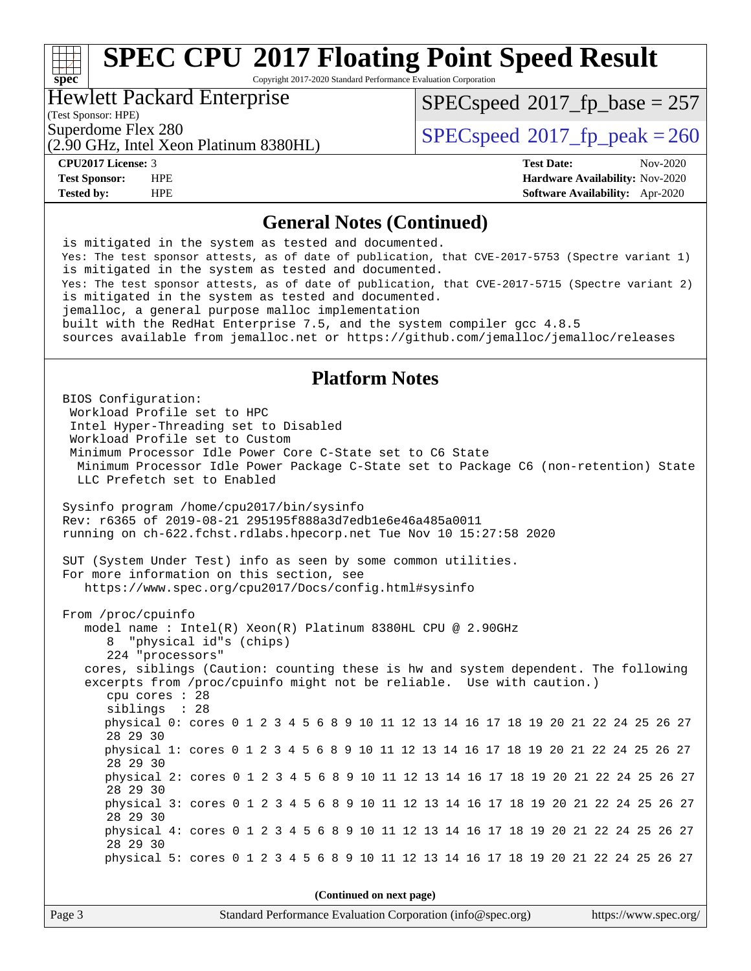Copyright 2017-2020 Standard Performance Evaluation Corporation

### Hewlett Packard Enterprise

(Test Sponsor: HPE)

**[spec](http://www.spec.org/)**

[SPECspeed](http://www.spec.org/auto/cpu2017/Docs/result-fields.html#SPECspeed2017fpbase)<sup>®</sup>2017 fp base = 257

(2.90 GHz, Intel Xeon Platinum 8380HL)

Superdome Flex 280<br>  $SPEC speed^{\circ}2017$  fp\_peak = 260

**[CPU2017 License:](http://www.spec.org/auto/cpu2017/Docs/result-fields.html#CPU2017License)** 3 **[Test Date:](http://www.spec.org/auto/cpu2017/Docs/result-fields.html#TestDate)** Nov-2020 **[Test Sponsor:](http://www.spec.org/auto/cpu2017/Docs/result-fields.html#TestSponsor)** HPE **[Hardware Availability:](http://www.spec.org/auto/cpu2017/Docs/result-fields.html#HardwareAvailability)** Nov-2020 **[Tested by:](http://www.spec.org/auto/cpu2017/Docs/result-fields.html#Testedby)** HPE **[Software Availability:](http://www.spec.org/auto/cpu2017/Docs/result-fields.html#SoftwareAvailability)** Apr-2020

### **[General Notes \(Continued\)](http://www.spec.org/auto/cpu2017/Docs/result-fields.html#GeneralNotes)**

 is mitigated in the system as tested and documented. Yes: The test sponsor attests, as of date of publication, that CVE-2017-5753 (Spectre variant 1) is mitigated in the system as tested and documented. Yes: The test sponsor attests, as of date of publication, that CVE-2017-5715 (Spectre variant 2) is mitigated in the system as tested and documented. jemalloc, a general purpose malloc implementation built with the RedHat Enterprise 7.5, and the system compiler gcc 4.8.5 sources available from jemalloc.net or<https://github.com/jemalloc/jemalloc/releases>

### **[Platform Notes](http://www.spec.org/auto/cpu2017/Docs/result-fields.html#PlatformNotes)**

 BIOS Configuration: Workload Profile set to HPC Intel Hyper-Threading set to Disabled Workload Profile set to Custom Minimum Processor Idle Power Core C-State set to C6 State Minimum Processor Idle Power Package C-State set to Package C6 (non-retention) State LLC Prefetch set to Enabled Sysinfo program /home/cpu2017/bin/sysinfo Rev: r6365 of 2019-08-21 295195f888a3d7edb1e6e46a485a0011 running on ch-622.fchst.rdlabs.hpecorp.net Tue Nov 10 15:27:58 2020 SUT (System Under Test) info as seen by some common utilities. For more information on this section, see <https://www.spec.org/cpu2017/Docs/config.html#sysinfo> From /proc/cpuinfo model name : Intel(R) Xeon(R) Platinum 8380HL CPU @ 2.90GHz 8 "physical id"s (chips) 224 "processors" cores, siblings (Caution: counting these is hw and system dependent. The following excerpts from /proc/cpuinfo might not be reliable. Use with caution.) cpu cores : 28 siblings : 28 physical 0: cores 0 1 2 3 4 5 6 8 9 10 11 12 13 14 16 17 18 19 20 21 22 24 25 26 27 28 29 30 physical 1: cores 0 1 2 3 4 5 6 8 9 10 11 12 13 14 16 17 18 19 20 21 22 24 25 26 27 28 29 30 physical 2: cores 0 1 2 3 4 5 6 8 9 10 11 12 13 14 16 17 18 19 20 21 22 24 25 26 27 28 29 30 physical 3: cores 0 1 2 3 4 5 6 8 9 10 11 12 13 14 16 17 18 19 20 21 22 24 25 26 27 28 29 30 physical 4: cores 0 1 2 3 4 5 6 8 9 10 11 12 13 14 16 17 18 19 20 21 22 24 25 26 27 28 29 30 physical 5: cores 0 1 2 3 4 5 6 8 9 10 11 12 13 14 16 17 18 19 20 21 22 24 25 26 27 **(Continued on next page)**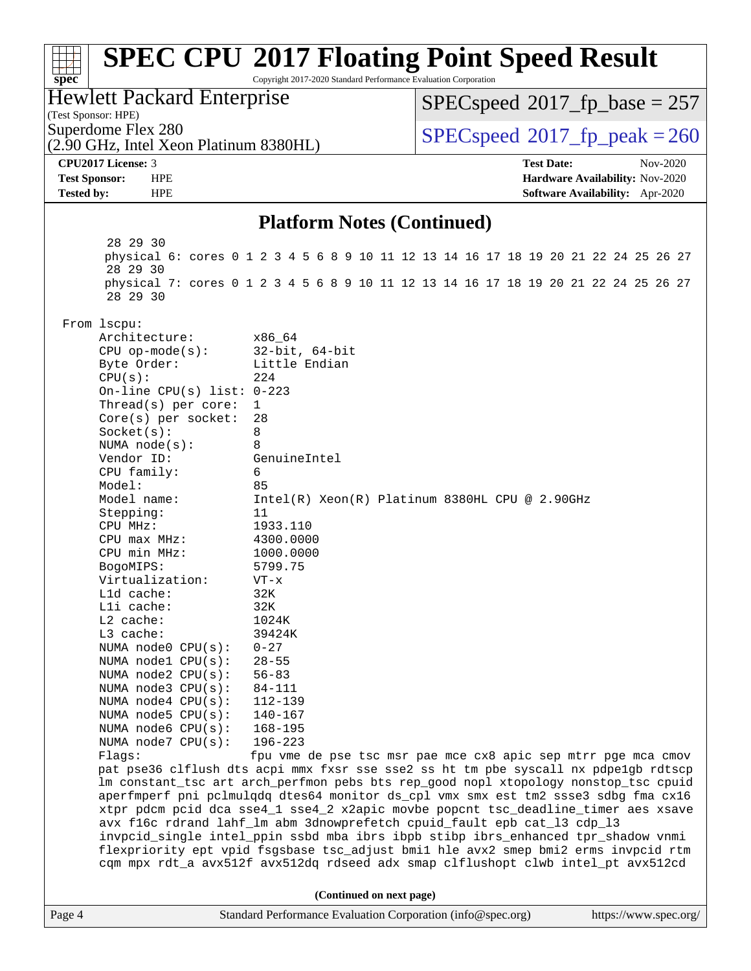### Page 4 Standard Performance Evaluation Corporation [\(info@spec.org\)](mailto:info@spec.org) <https://www.spec.org/> **[spec](http://www.spec.org/) [SPEC CPU](http://www.spec.org/auto/cpu2017/Docs/result-fields.html#SPECCPU2017FloatingPointSpeedResult)[2017 Floating Point Speed Result](http://www.spec.org/auto/cpu2017/Docs/result-fields.html#SPECCPU2017FloatingPointSpeedResult)** Copyright 2017-2020 Standard Performance Evaluation Corporation (Test Sponsor: HPE) Hewlett Packard Enterprise (2.90 GHz, Intel Xeon Platinum 8380HL) Superdome Flex 280<br>  $SPEC speed^{\circ}2017$  fp\_peak = 260 [SPECspeed](http://www.spec.org/auto/cpu2017/Docs/result-fields.html#SPECspeed2017fpbase)<sup>®</sup>2017 fp base = 257 **[CPU2017 License:](http://www.spec.org/auto/cpu2017/Docs/result-fields.html#CPU2017License)** 3 **[Test Date:](http://www.spec.org/auto/cpu2017/Docs/result-fields.html#TestDate)** Nov-2020 **[Test Sponsor:](http://www.spec.org/auto/cpu2017/Docs/result-fields.html#TestSponsor)** HPE **[Hardware Availability:](http://www.spec.org/auto/cpu2017/Docs/result-fields.html#HardwareAvailability)** Nov-2020 **[Tested by:](http://www.spec.org/auto/cpu2017/Docs/result-fields.html#Testedby)** HPE **[Software Availability:](http://www.spec.org/auto/cpu2017/Docs/result-fields.html#SoftwareAvailability)** Apr-2020 **[Platform Notes \(Continued\)](http://www.spec.org/auto/cpu2017/Docs/result-fields.html#PlatformNotes)** 28 29 30 physical 6: cores 0 1 2 3 4 5 6 8 9 10 11 12 13 14 16 17 18 19 20 21 22 24 25 26 27 28 29 30 physical 7: cores 0 1 2 3 4 5 6 8 9 10 11 12 13 14 16 17 18 19 20 21 22 24 25 26 27 28 29 30 From lscpu: Architecture: x86\_64 CPU op-mode(s): 32-bit, 64-bit Byte Order: Little Endian  $CPU(s):$  224 On-line CPU(s) list: 0-223 Thread(s) per core: 1 Core(s) per socket: 28 Socket(s): 8 NUMA node(s): 8 Vendor ID: GenuineIntel CPU family: 6 Model: 85 Model name: Intel(R) Xeon(R) Platinum 8380HL CPU @ 2.90GHz Stepping: 11 CPU MHz: 1933.110 CPU max MHz: 4300.0000 CPU min MHz: 1000.0000 BogoMIPS: 5799.75 Virtualization: VT-x L1d cache: 32K L1i cache: 32K L2 cache: 1024K L3 cache: 39424K<br>NUMA node0 CPU(s): 0-27 NUMA  $node0$   $CPU(s):$  NUMA node1 CPU(s): 28-55 NUMA node2 CPU(s): 56-83 NUMA node3 CPU(s): 84-111 NUMA node4 CPU(s): 112-139 NUMA node5 CPU(s): 140-167 NUMA node6 CPU(s): 168-195 NUMA node7 CPU(s): 196-223 Flags: fpu vme de pse tsc msr pae mce cx8 apic sep mtrr pge mca cmov pat pse36 clflush dts acpi mmx fxsr sse sse2 ss ht tm pbe syscall nx pdpe1gb rdtscp lm constant\_tsc art arch\_perfmon pebs bts rep\_good nopl xtopology nonstop\_tsc cpuid aperfmperf pni pclmulqdq dtes64 monitor ds\_cpl vmx smx est tm2 ssse3 sdbg fma cx16 xtpr pdcm pcid dca sse4\_1 sse4\_2 x2apic movbe popcnt tsc\_deadline\_timer aes xsave avx f16c rdrand lahf\_lm abm 3dnowprefetch cpuid\_fault epb cat\_l3 cdp\_l3 invpcid\_single intel\_ppin ssbd mba ibrs ibpb stibp ibrs\_enhanced tpr\_shadow vnmi flexpriority ept vpid fsgsbase tsc\_adjust bmi1 hle avx2 smep bmi2 erms invpcid rtm cqm mpx rdt\_a avx512f avx512dq rdseed adx smap clflushopt clwb intel\_pt avx512cd **(Continued on next page)**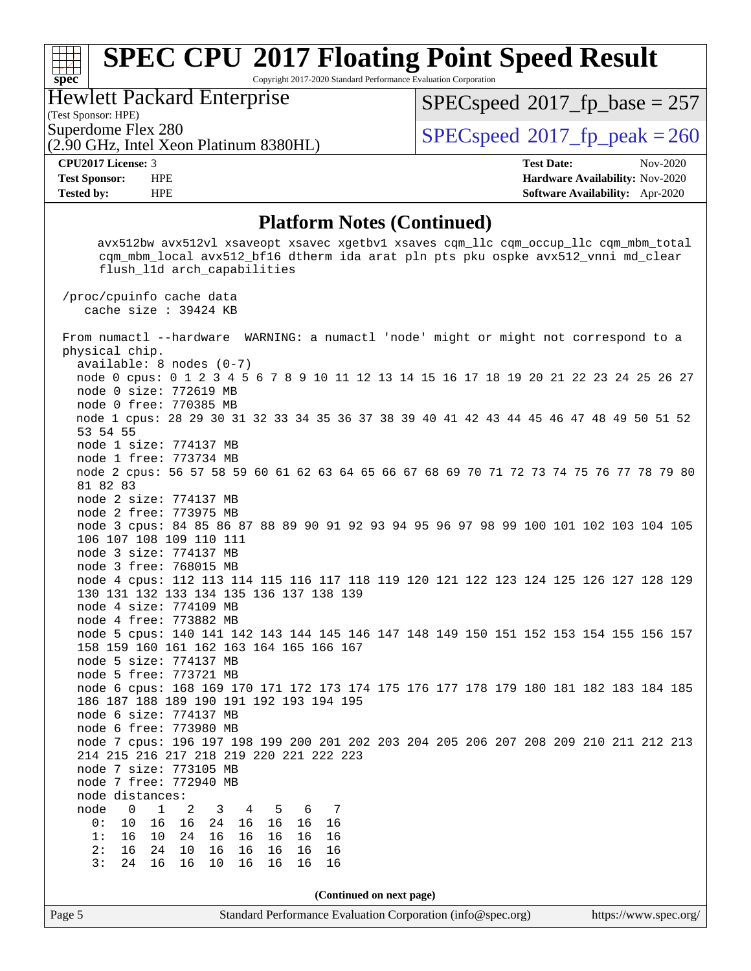Copyright 2017-2020 Standard Performance Evaluation Corporation

### Hewlett Packard Enterprise

(2.90 GHz, Intel Xeon Platinum 8380HL)

(Test Sponsor: HPE)

[SPECspeed](http://www.spec.org/auto/cpu2017/Docs/result-fields.html#SPECspeed2017fpbase)<sup>®</sup>2017 fp base = 257

Superdome Flex 280<br>  $\overline{SPEC speed}$   $\otimes$  [2017\\_fp\\_peak = 2](http://www.spec.org/auto/cpu2017/Docs/result-fields.html#SPECspeed2017fppeak)60

**[spec](http://www.spec.org/)**

**[CPU2017 License:](http://www.spec.org/auto/cpu2017/Docs/result-fields.html#CPU2017License)** 3 **[Test Date:](http://www.spec.org/auto/cpu2017/Docs/result-fields.html#TestDate)** Nov-2020 **[Test Sponsor:](http://www.spec.org/auto/cpu2017/Docs/result-fields.html#TestSponsor)** HPE **[Hardware Availability:](http://www.spec.org/auto/cpu2017/Docs/result-fields.html#HardwareAvailability)** Nov-2020 **[Tested by:](http://www.spec.org/auto/cpu2017/Docs/result-fields.html#Testedby)** HPE **[Software Availability:](http://www.spec.org/auto/cpu2017/Docs/result-fields.html#SoftwareAvailability)** Apr-2020

### **[Platform Notes \(Continued\)](http://www.spec.org/auto/cpu2017/Docs/result-fields.html#PlatformNotes)**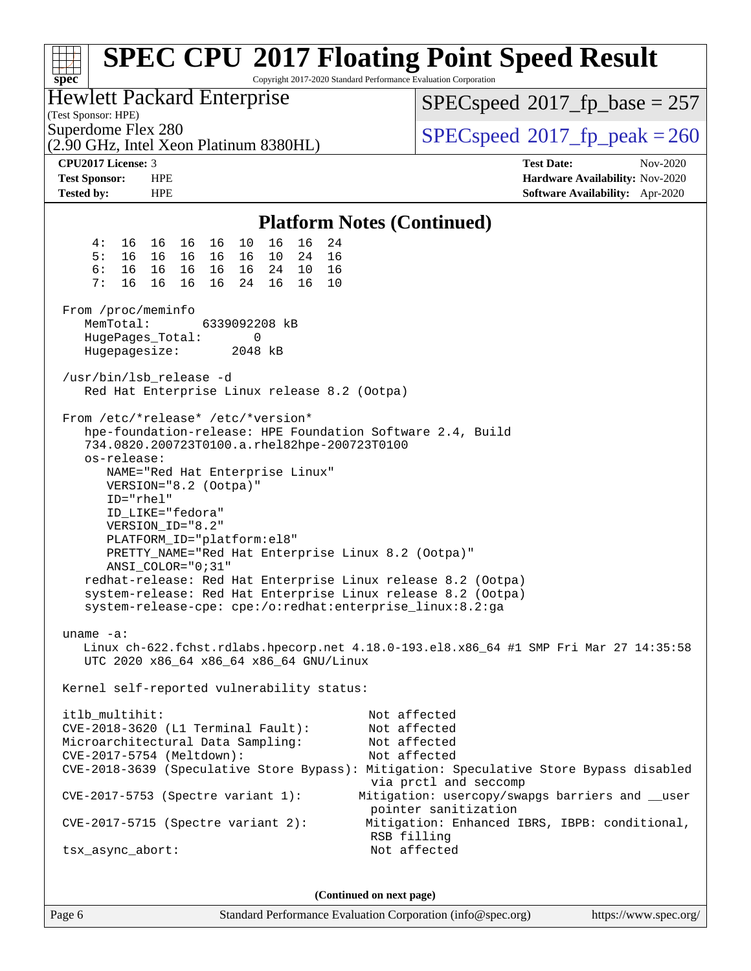| Copyright 2017-2020 Standard Performance Evaluation Corporation<br>spec <sup>®</sup>                                                                                                                                                                                                                                                                                                                                                                                                                                                                                                                                                              | <b>SPEC CPU®2017 Floating Point Speed Result</b>                                       |
|---------------------------------------------------------------------------------------------------------------------------------------------------------------------------------------------------------------------------------------------------------------------------------------------------------------------------------------------------------------------------------------------------------------------------------------------------------------------------------------------------------------------------------------------------------------------------------------------------------------------------------------------------|----------------------------------------------------------------------------------------|
| <b>Hewlett Packard Enterprise</b><br>(Test Sponsor: HPE)                                                                                                                                                                                                                                                                                                                                                                                                                                                                                                                                                                                          | $SPEC speed^{\circ}2017\_fp\_base = 257$                                               |
| Superdome Flex 280<br>(2.90 GHz, Intel Xeon Platinum 8380HL)                                                                                                                                                                                                                                                                                                                                                                                                                                                                                                                                                                                      | $SPEC speed^{\circ}2017$ fp peak = 260                                                 |
| <b>CPU2017 License: 3</b>                                                                                                                                                                                                                                                                                                                                                                                                                                                                                                                                                                                                                         | <b>Test Date:</b><br>Nov-2020                                                          |
| <b>Test Sponsor:</b><br><b>HPE</b><br>Tested by:<br><b>HPE</b>                                                                                                                                                                                                                                                                                                                                                                                                                                                                                                                                                                                    | Hardware Availability: Nov-2020<br><b>Software Availability:</b> Apr-2020              |
| <b>Platform Notes (Continued)</b>                                                                                                                                                                                                                                                                                                                                                                                                                                                                                                                                                                                                                 |                                                                                        |
| 16 16<br>16<br>16<br>4 :<br>16 16<br>10<br>24                                                                                                                                                                                                                                                                                                                                                                                                                                                                                                                                                                                                     |                                                                                        |
| 5:<br>16<br>16<br>16 16<br>10<br>24<br>16<br>16                                                                                                                                                                                                                                                                                                                                                                                                                                                                                                                                                                                                   |                                                                                        |
| 6:<br>16<br>16 16<br>24<br>10<br>16<br>16<br>16<br>7:<br>16<br>16<br>16 16<br>16<br>16<br>24<br>10                                                                                                                                                                                                                                                                                                                                                                                                                                                                                                                                                |                                                                                        |
| From /proc/meminfo                                                                                                                                                                                                                                                                                                                                                                                                                                                                                                                                                                                                                                |                                                                                        |
| 6339092208 kB<br>MemTotal:<br>HugePages_Total:<br>0                                                                                                                                                                                                                                                                                                                                                                                                                                                                                                                                                                                               |                                                                                        |
| Hugepagesize:<br>2048 kB                                                                                                                                                                                                                                                                                                                                                                                                                                                                                                                                                                                                                          |                                                                                        |
| /usr/bin/lsb_release -d<br>Red Hat Enterprise Linux release 8.2 (Ootpa)                                                                                                                                                                                                                                                                                                                                                                                                                                                                                                                                                                           |                                                                                        |
| From /etc/*release* /etc/*version*<br>hpe-foundation-release: HPE Foundation Software 2.4, Build<br>734.0820.200723T0100.a.rhel82hpe-200723T0100<br>os-release:<br>NAME="Red Hat Enterprise Linux"<br>VERSION="8.2 (Ootpa)"<br>ID="rhel"<br>ID_LIKE="fedora"<br>VERSION_ID="8.2"<br>PLATFORM_ID="platform:el8"<br>PRETTY_NAME="Red Hat Enterprise Linux 8.2 (Ootpa)"<br>ANSI_COLOR="0;31"<br>redhat-release: Red Hat Enterprise Linux release 8.2 (Ootpa)<br>system-release: Red Hat Enterprise Linux release 8.2 (Ootpa)<br>system-release-cpe: cpe:/o:redhat:enterprise_linux:8.2:ga<br>uname $-a$ :<br>UTC 2020 x86_64 x86_64 x86_64 GNU/Linux | Linux ch-622.fchst.rdlabs.hpecorp.net 4.18.0-193.el8.x86_64 #1 SMP Fri Mar 27 14:35:58 |
| Kernel self-reported vulnerability status:                                                                                                                                                                                                                                                                                                                                                                                                                                                                                                                                                                                                        |                                                                                        |
| itlb_multihit:<br>CVE-2018-3620 (L1 Terminal Fault):                                                                                                                                                                                                                                                                                                                                                                                                                                                                                                                                                                                              | Not affected<br>Not affected                                                           |
| Microarchitectural Data Sampling:                                                                                                                                                                                                                                                                                                                                                                                                                                                                                                                                                                                                                 | Not affected                                                                           |
| CVE-2017-5754 (Meltdown):                                                                                                                                                                                                                                                                                                                                                                                                                                                                                                                                                                                                                         | Not affected                                                                           |
| CVE-2018-3639 (Speculative Store Bypass): Mitigation: Speculative Store Bypass disabled                                                                                                                                                                                                                                                                                                                                                                                                                                                                                                                                                           | via prctl and seccomp                                                                  |
| $CVE-2017-5753$ (Spectre variant 1):                                                                                                                                                                                                                                                                                                                                                                                                                                                                                                                                                                                                              | Mitigation: usercopy/swapgs barriers and __user<br>pointer sanitization                |
| $CVE-2017-5715$ (Spectre variant 2):                                                                                                                                                                                                                                                                                                                                                                                                                                                                                                                                                                                                              | Mitigation: Enhanced IBRS, IBPB: conditional,<br>RSB filling                           |
| tsx_async_abort:                                                                                                                                                                                                                                                                                                                                                                                                                                                                                                                                                                                                                                  | Not affected                                                                           |
|                                                                                                                                                                                                                                                                                                                                                                                                                                                                                                                                                                                                                                                   |                                                                                        |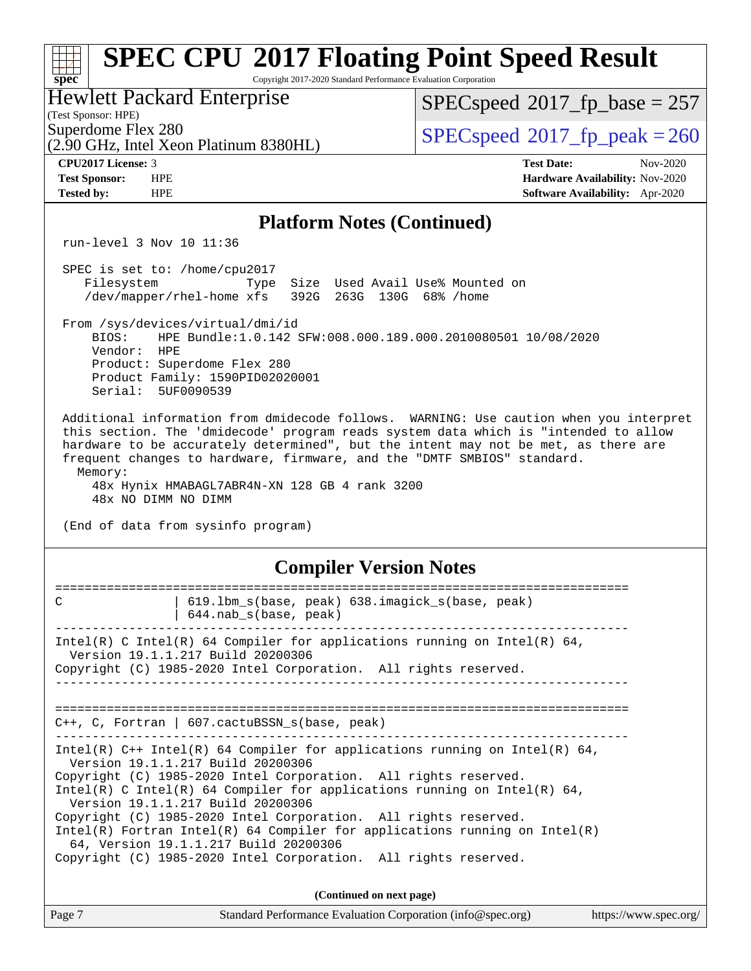| <b>SPEC CPU®2017 Floating Point Speed Result</b><br>Copyright 2017-2020 Standard Performance Evaluation Corporation<br>$spec^*$                                                                                                                                                                                                                                                                                                                                                                                                                                      |                                                                                                     |  |  |  |  |
|----------------------------------------------------------------------------------------------------------------------------------------------------------------------------------------------------------------------------------------------------------------------------------------------------------------------------------------------------------------------------------------------------------------------------------------------------------------------------------------------------------------------------------------------------------------------|-----------------------------------------------------------------------------------------------------|--|--|--|--|
| <b>Hewlett Packard Enterprise</b><br>(Test Sponsor: HPE)                                                                                                                                                                                                                                                                                                                                                                                                                                                                                                             | $SPEC speed^{\circ}2017$ [p_base = 257                                                              |  |  |  |  |
| Superdome Flex 280<br>(2.90 GHz, Intel Xeon Platinum 8380HL)                                                                                                                                                                                                                                                                                                                                                                                                                                                                                                         | $SPEC speed^{\circ}2017$ _fp_peak = 260                                                             |  |  |  |  |
| CPU2017 License: 3<br><b>Test Sponsor:</b><br><b>HPE</b><br><b>HPE</b><br><b>Tested by:</b>                                                                                                                                                                                                                                                                                                                                                                                                                                                                          | <b>Test Date:</b><br>Nov-2020<br>Hardware Availability: Nov-2020<br>Software Availability: Apr-2020 |  |  |  |  |
| <b>Platform Notes (Continued)</b>                                                                                                                                                                                                                                                                                                                                                                                                                                                                                                                                    |                                                                                                     |  |  |  |  |
| run-level 3 Nov 10 11:36                                                                                                                                                                                                                                                                                                                                                                                                                                                                                                                                             |                                                                                                     |  |  |  |  |
| SPEC is set to: /home/cpu2017<br>Size Used Avail Use% Mounted on<br>Filesystem<br>Type<br>/dev/mapper/rhel-home xfs<br>392G 263G 130G 68% / home                                                                                                                                                                                                                                                                                                                                                                                                                     |                                                                                                     |  |  |  |  |
| From /sys/devices/virtual/dmi/id<br>BIOS:<br>HPE Bundle:1.0.142 SFW:008.000.189.000.2010080501 10/08/2020<br>Vendor:<br>HPE<br>Product: Superdome Flex 280<br>Product Family: 1590PID02020001<br>Serial: 5UF0090539                                                                                                                                                                                                                                                                                                                                                  |                                                                                                     |  |  |  |  |
| Additional information from dmidecode follows. WARNING: Use caution when you interpret<br>this section. The 'dmidecode' program reads system data which is "intended to allow<br>hardware to be accurately determined", but the intent may not be met, as there are<br>frequent changes to hardware, firmware, and the "DMTF SMBIOS" standard.<br>Memory:<br>48x Hynix HMABAGL7ABR4N-XN 128 GB 4 rank 3200<br>48x NO DIMM NO DIMM<br>(End of data from sysinfo program)                                                                                              |                                                                                                     |  |  |  |  |
| <b>Compiler Version Notes</b>                                                                                                                                                                                                                                                                                                                                                                                                                                                                                                                                        |                                                                                                     |  |  |  |  |
| 619.1bm_s(base, peak) 638.imagick_s(base, peak)<br>$\mathsf{C}$<br>644.nab_s(base, peak)                                                                                                                                                                                                                                                                                                                                                                                                                                                                             |                                                                                                     |  |  |  |  |
| Intel(R) C Intel(R) 64 Compiler for applications running on Intel(R) 64,<br>Version 19.1.1.217 Build 20200306<br>Copyright (C) 1985-2020 Intel Corporation. All rights reserved.<br>________________________________                                                                                                                                                                                                                                                                                                                                                 |                                                                                                     |  |  |  |  |
| $C++$ , C, Fortran   607.cactuBSSN_s(base, peak)                                                                                                                                                                                                                                                                                                                                                                                                                                                                                                                     |                                                                                                     |  |  |  |  |
| Intel(R) $C++$ Intel(R) 64 Compiler for applications running on Intel(R) 64,<br>Version 19.1.1.217 Build 20200306<br>Copyright (C) 1985-2020 Intel Corporation. All rights reserved.<br>Intel(R) C Intel(R) 64 Compiler for applications running on Intel(R) 64,<br>Version 19.1.1.217 Build 20200306<br>Copyright (C) 1985-2020 Intel Corporation. All rights reserved.<br>$Intel(R)$ Fortran Intel(R) 64 Compiler for applications running on Intel(R)<br>64, Version 19.1.1.217 Build 20200306<br>Copyright (C) 1985-2020 Intel Corporation. All rights reserved. |                                                                                                     |  |  |  |  |
| (Continued on next page)                                                                                                                                                                                                                                                                                                                                                                                                                                                                                                                                             |                                                                                                     |  |  |  |  |
| Page 7<br>Standard Performance Evaluation Corporation (info@spec.org)                                                                                                                                                                                                                                                                                                                                                                                                                                                                                                | https://www.spec.org/                                                                               |  |  |  |  |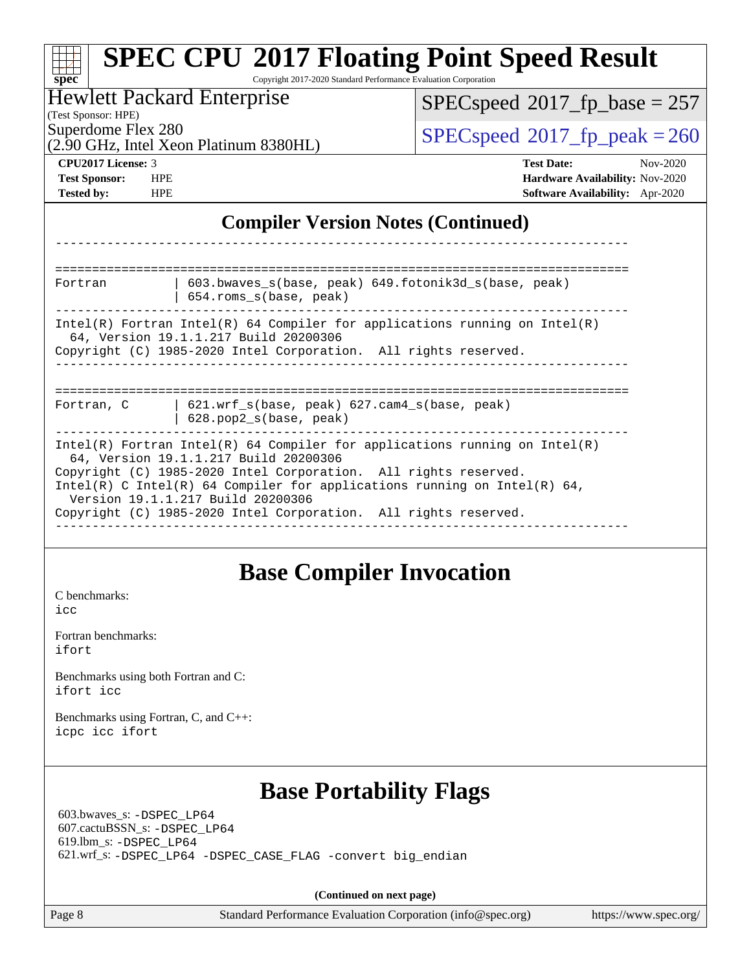| $spec^*$                                                                             | <b>SPEC CPU®2017 Floating Point Speed Result</b><br>Copyright 2017-2020 Standard Performance Evaluation Corporation                                                                                                                                                                                                                                                          |                   |                                                                                |  |  |  |
|--------------------------------------------------------------------------------------|------------------------------------------------------------------------------------------------------------------------------------------------------------------------------------------------------------------------------------------------------------------------------------------------------------------------------------------------------------------------------|-------------------|--------------------------------------------------------------------------------|--|--|--|
|                                                                                      | <b>Hewlett Packard Enterprise</b>                                                                                                                                                                                                                                                                                                                                            |                   | $SPEC speed^{\circ}2017$ _fp_base = 257                                        |  |  |  |
| (Test Sponsor: HPE)<br>Superdome Flex 280                                            | (2.90 GHz, Intel Xeon Platinum 8380HL)                                                                                                                                                                                                                                                                                                                                       |                   | $SPEC speed^{\circ}2017$ _fp_peak = 260                                        |  |  |  |
| CPU2017 License: 3<br><b>Test Sponsor:</b><br><b>HPE</b><br><b>Tested by:</b><br>HPE |                                                                                                                                                                                                                                                                                                                                                                              | <b>Test Date:</b> | Nov-2020<br>Hardware Availability: Nov-2020<br>Software Availability: Apr-2020 |  |  |  |
|                                                                                      | <b>Compiler Version Notes (Continued)</b>                                                                                                                                                                                                                                                                                                                                    |                   |                                                                                |  |  |  |
|                                                                                      |                                                                                                                                                                                                                                                                                                                                                                              |                   |                                                                                |  |  |  |
| Fortran                                                                              | 603.bwaves_s(base, peak) 649.fotonik3d_s(base, peak)<br>654.roms_s(base, peak)                                                                                                                                                                                                                                                                                               |                   |                                                                                |  |  |  |
|                                                                                      | $Intel(R)$ Fortran Intel(R) 64 Compiler for applications running on Intel(R)<br>64, Version 19.1.1.217 Build 20200306<br>Copyright (C) 1985-2020 Intel Corporation. All rights reserved.                                                                                                                                                                                     |                   |                                                                                |  |  |  |
| Fortran, C                                                                           | 621.wrf_s(base, peak) 627.cam4_s(base, peak)<br>628.pop2_s(base, peak)                                                                                                                                                                                                                                                                                                       |                   |                                                                                |  |  |  |
|                                                                                      | $Intel(R)$ Fortran Intel(R) 64 Compiler for applications running on Intel(R)<br>64, Version 19.1.1.217 Build 20200306<br>Copyright (C) 1985-2020 Intel Corporation. All rights reserved.<br>Intel(R) C Intel(R) 64 Compiler for applications running on Intel(R) 64,<br>Version 19.1.1.217 Build 20200306<br>Copyright (C) 1985-2020 Intel Corporation. All rights reserved. |                   |                                                                                |  |  |  |
| C benchmarks:<br>icc                                                                 | <b>Base Compiler Invocation</b>                                                                                                                                                                                                                                                                                                                                              |                   |                                                                                |  |  |  |
| Fortran benchmarks:<br>ifort                                                         |                                                                                                                                                                                                                                                                                                                                                                              |                   |                                                                                |  |  |  |
| Benchmarks using both Fortran and C:<br>ifort icc                                    |                                                                                                                                                                                                                                                                                                                                                                              |                   |                                                                                |  |  |  |
| Benchmarks using Fortran, C, and C++:<br>icpc icc ifort                              |                                                                                                                                                                                                                                                                                                                                                                              |                   |                                                                                |  |  |  |
| 603.bwaves_s: -DSPEC_LP64<br>607.cactuBSSN_s: -DSPEC_LP64<br>619.lbm_s: -DSPEC_LP64  | <b>Base Portability Flags</b><br>621.wrf_s: -DSPEC_LP64 -DSPEC_CASE_FLAG -convert big_endian                                                                                                                                                                                                                                                                                 |                   |                                                                                |  |  |  |
|                                                                                      | (Continued on next page)                                                                                                                                                                                                                                                                                                                                                     |                   |                                                                                |  |  |  |
| Page 8                                                                               | Standard Performance Evaluation Corporation (info@spec.org)                                                                                                                                                                                                                                                                                                                  |                   | https://www.spec.org/                                                          |  |  |  |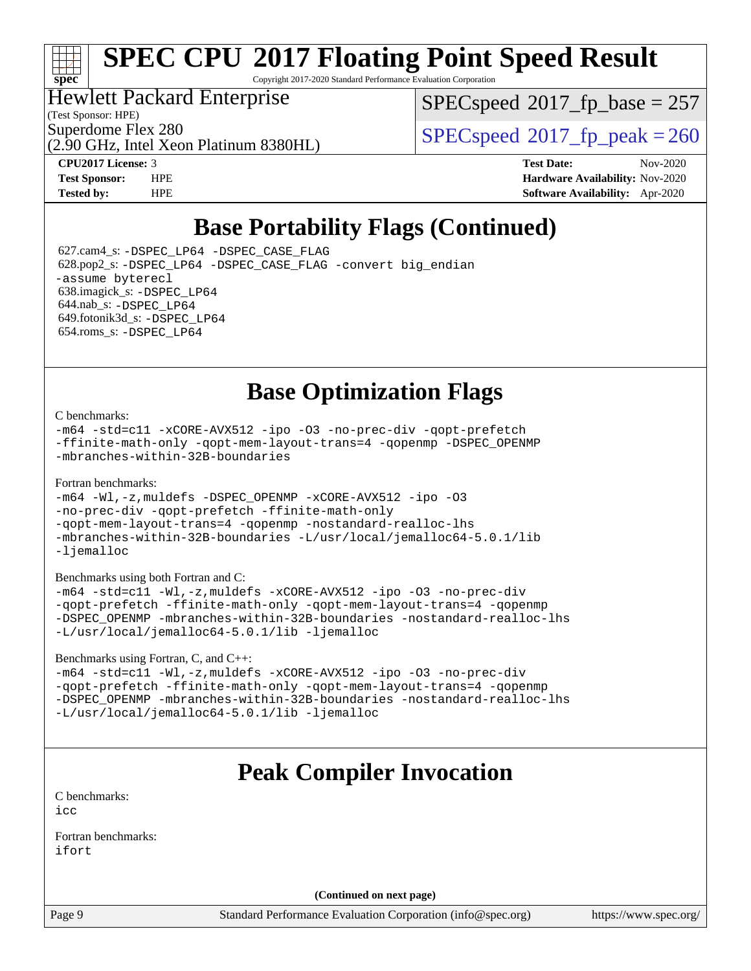# **[spec](http://www.spec.org/)**

# **[SPEC CPU](http://www.spec.org/auto/cpu2017/Docs/result-fields.html#SPECCPU2017FloatingPointSpeedResult)[2017 Floating Point Speed Result](http://www.spec.org/auto/cpu2017/Docs/result-fields.html#SPECCPU2017FloatingPointSpeedResult)**

Copyright 2017-2020 Standard Performance Evaluation Corporation

### Hewlett Packard Enterprise

(Test Sponsor: HPE)

[SPECspeed](http://www.spec.org/auto/cpu2017/Docs/result-fields.html#SPECspeed2017fpbase)<sup>®</sup>2017 fp base = 257

(2.90 GHz, Intel Xeon Platinum 8380HL)

Superdome Flex 280<br>  $\angle$  [SPECspeed](http://www.spec.org/auto/cpu2017/Docs/result-fields.html#SPECspeed2017fppeak)®2017 fp\_peak = 260

**[CPU2017 License:](http://www.spec.org/auto/cpu2017/Docs/result-fields.html#CPU2017License)** 3 **[Test Date:](http://www.spec.org/auto/cpu2017/Docs/result-fields.html#TestDate)** Nov-2020 **[Test Sponsor:](http://www.spec.org/auto/cpu2017/Docs/result-fields.html#TestSponsor)** HPE **[Hardware Availability:](http://www.spec.org/auto/cpu2017/Docs/result-fields.html#HardwareAvailability)** Nov-2020 **[Tested by:](http://www.spec.org/auto/cpu2017/Docs/result-fields.html#Testedby)** HPE **[Software Availability:](http://www.spec.org/auto/cpu2017/Docs/result-fields.html#SoftwareAvailability)** Apr-2020

# **[Base Portability Flags \(Continued\)](http://www.spec.org/auto/cpu2017/Docs/result-fields.html#BasePortabilityFlags)**

 627.cam4\_s: [-DSPEC\\_LP64](http://www.spec.org/cpu2017/results/res2020q4/cpu2017-20201123-24429.flags.html#suite_basePORTABILITY627_cam4_s_DSPEC_LP64) [-DSPEC\\_CASE\\_FLAG](http://www.spec.org/cpu2017/results/res2020q4/cpu2017-20201123-24429.flags.html#b627.cam4_s_baseCPORTABILITY_DSPEC_CASE_FLAG) 628.pop2\_s: [-DSPEC\\_LP64](http://www.spec.org/cpu2017/results/res2020q4/cpu2017-20201123-24429.flags.html#suite_basePORTABILITY628_pop2_s_DSPEC_LP64) [-DSPEC\\_CASE\\_FLAG](http://www.spec.org/cpu2017/results/res2020q4/cpu2017-20201123-24429.flags.html#b628.pop2_s_baseCPORTABILITY_DSPEC_CASE_FLAG) [-convert big\\_endian](http://www.spec.org/cpu2017/results/res2020q4/cpu2017-20201123-24429.flags.html#user_baseFPORTABILITY628_pop2_s_convert_big_endian_c3194028bc08c63ac5d04de18c48ce6d347e4e562e8892b8bdbdc0214820426deb8554edfa529a3fb25a586e65a3d812c835984020483e7e73212c4d31a38223) [-assume byterecl](http://www.spec.org/cpu2017/results/res2020q4/cpu2017-20201123-24429.flags.html#user_baseFPORTABILITY628_pop2_s_assume_byterecl_7e47d18b9513cf18525430bbf0f2177aa9bf368bc7a059c09b2c06a34b53bd3447c950d3f8d6c70e3faf3a05c8557d66a5798b567902e8849adc142926523472) 638.imagick\_s: [-DSPEC\\_LP64](http://www.spec.org/cpu2017/results/res2020q4/cpu2017-20201123-24429.flags.html#suite_basePORTABILITY638_imagick_s_DSPEC_LP64) 644.nab\_s: [-DSPEC\\_LP64](http://www.spec.org/cpu2017/results/res2020q4/cpu2017-20201123-24429.flags.html#suite_basePORTABILITY644_nab_s_DSPEC_LP64) 649.fotonik3d\_s: [-DSPEC\\_LP64](http://www.spec.org/cpu2017/results/res2020q4/cpu2017-20201123-24429.flags.html#suite_basePORTABILITY649_fotonik3d_s_DSPEC_LP64) 654.roms\_s: [-DSPEC\\_LP64](http://www.spec.org/cpu2017/results/res2020q4/cpu2017-20201123-24429.flags.html#suite_basePORTABILITY654_roms_s_DSPEC_LP64)

# **[Base Optimization Flags](http://www.spec.org/auto/cpu2017/Docs/result-fields.html#BaseOptimizationFlags)**

### [C benchmarks](http://www.spec.org/auto/cpu2017/Docs/result-fields.html#Cbenchmarks):

[-m64](http://www.spec.org/cpu2017/results/res2020q4/cpu2017-20201123-24429.flags.html#user_CCbase_m64-icc) [-std=c11](http://www.spec.org/cpu2017/results/res2020q4/cpu2017-20201123-24429.flags.html#user_CCbase_std-icc-std_0e1c27790398a4642dfca32ffe6c27b5796f9c2d2676156f2e42c9c44eaad0c049b1cdb667a270c34d979996257aeb8fc440bfb01818dbc9357bd9d174cb8524) [-xCORE-AVX512](http://www.spec.org/cpu2017/results/res2020q4/cpu2017-20201123-24429.flags.html#user_CCbase_f-xCORE-AVX512) [-ipo](http://www.spec.org/cpu2017/results/res2020q4/cpu2017-20201123-24429.flags.html#user_CCbase_f-ipo) [-O3](http://www.spec.org/cpu2017/results/res2020q4/cpu2017-20201123-24429.flags.html#user_CCbase_f-O3) [-no-prec-div](http://www.spec.org/cpu2017/results/res2020q4/cpu2017-20201123-24429.flags.html#user_CCbase_f-no-prec-div) [-qopt-prefetch](http://www.spec.org/cpu2017/results/res2020q4/cpu2017-20201123-24429.flags.html#user_CCbase_f-qopt-prefetch) [-ffinite-math-only](http://www.spec.org/cpu2017/results/res2020q4/cpu2017-20201123-24429.flags.html#user_CCbase_f_finite_math_only_cb91587bd2077682c4b38af759c288ed7c732db004271a9512da14a4f8007909a5f1427ecbf1a0fb78ff2a814402c6114ac565ca162485bbcae155b5e4258871) [-qopt-mem-layout-trans=4](http://www.spec.org/cpu2017/results/res2020q4/cpu2017-20201123-24429.flags.html#user_CCbase_f-qopt-mem-layout-trans_fa39e755916c150a61361b7846f310bcdf6f04e385ef281cadf3647acec3f0ae266d1a1d22d972a7087a248fd4e6ca390a3634700869573d231a252c784941a8) [-qopenmp](http://www.spec.org/cpu2017/results/res2020q4/cpu2017-20201123-24429.flags.html#user_CCbase_qopenmp_16be0c44f24f464004c6784a7acb94aca937f053568ce72f94b139a11c7c168634a55f6653758ddd83bcf7b8463e8028bb0b48b77bcddc6b78d5d95bb1df2967) [-DSPEC\\_OPENMP](http://www.spec.org/cpu2017/results/res2020q4/cpu2017-20201123-24429.flags.html#suite_CCbase_DSPEC_OPENMP) [-mbranches-within-32B-boundaries](http://www.spec.org/cpu2017/results/res2020q4/cpu2017-20201123-24429.flags.html#user_CCbase_f-mbranches-within-32B-boundaries)

### [Fortran benchmarks](http://www.spec.org/auto/cpu2017/Docs/result-fields.html#Fortranbenchmarks):

```
-m64 -Wl,-z,muldefs -DSPEC_OPENMP -xCORE-AVX512 -ipo -O3
-no-prec-div -qopt-prefetch -ffinite-math-only
-qopt-mem-layout-trans=4 -qopenmp -nostandard-realloc-lhs
-mbranches-within-32B-boundaries -L/usr/local/jemalloc64-5.0.1/lib
-ljemalloc
```
[Benchmarks using both Fortran and C](http://www.spec.org/auto/cpu2017/Docs/result-fields.html#BenchmarksusingbothFortranandC):

```
-m64 -std=c11 -Wl,-z,muldefs -xCORE-AVX512 -ipo -O3 -no-prec-div
-qopt-prefetch -ffinite-math-only -qopt-mem-layout-trans=4 -qopenmp
-DSPEC_OPENMP -mbranches-within-32B-boundaries -nostandard-realloc-lhs
-L/usr/local/jemalloc64-5.0.1/lib -ljemalloc
```
[Benchmarks using Fortran, C, and C++:](http://www.spec.org/auto/cpu2017/Docs/result-fields.html#BenchmarksusingFortranCandCXX)

```
-m64 -std=c11 -Wl,-z,muldefs -xCORE-AVX512 -ipo -O3 -no-prec-div
-qopt-prefetch -ffinite-math-only -qopt-mem-layout-trans=4 -qopenmp
-DSPEC_OPENMP -mbranches-within-32B-boundaries -nostandard-realloc-lhs
-L/usr/local/jemalloc64-5.0.1/lib -ljemalloc
```
# **[Peak Compiler Invocation](http://www.spec.org/auto/cpu2017/Docs/result-fields.html#PeakCompilerInvocation)**

[C benchmarks](http://www.spec.org/auto/cpu2017/Docs/result-fields.html#Cbenchmarks): [icc](http://www.spec.org/cpu2017/results/res2020q4/cpu2017-20201123-24429.flags.html#user_CCpeak_intel_icc_66fc1ee009f7361af1fbd72ca7dcefbb700085f36577c54f309893dd4ec40d12360134090235512931783d35fd58c0460139e722d5067c5574d8eaf2b3e37e92)

[Fortran benchmarks](http://www.spec.org/auto/cpu2017/Docs/result-fields.html#Fortranbenchmarks): [ifort](http://www.spec.org/cpu2017/results/res2020q4/cpu2017-20201123-24429.flags.html#user_FCpeak_intel_ifort_8111460550e3ca792625aed983ce982f94888b8b503583aa7ba2b8303487b4d8a21a13e7191a45c5fd58ff318f48f9492884d4413fa793fd88dd292cad7027ca)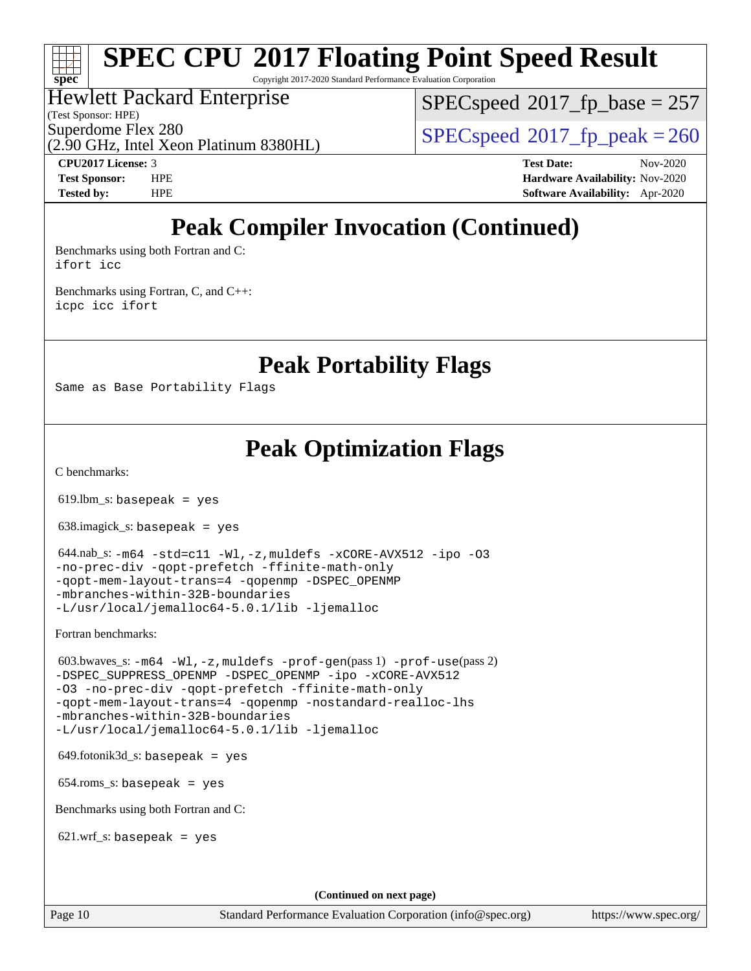Copyright 2017-2020 Standard Performance Evaluation Corporation

### Hewlett Packard Enterprise

(Test Sponsor: HPE)

**[spec](http://www.spec.org/)**

[SPECspeed](http://www.spec.org/auto/cpu2017/Docs/result-fields.html#SPECspeed2017fpbase)<sup>®</sup>2017 fp base = 257

(2.90 GHz, Intel Xeon Platinum 8380HL)

Superdome Flex 280<br>  $SPEC speed^{\circ}2017$  fp\_peak = 260

**[CPU2017 License:](http://www.spec.org/auto/cpu2017/Docs/result-fields.html#CPU2017License)** 3 **[Test Date:](http://www.spec.org/auto/cpu2017/Docs/result-fields.html#TestDate)** Nov-2020 **[Test Sponsor:](http://www.spec.org/auto/cpu2017/Docs/result-fields.html#TestSponsor)** HPE **[Hardware Availability:](http://www.spec.org/auto/cpu2017/Docs/result-fields.html#HardwareAvailability)** Nov-2020 **[Tested by:](http://www.spec.org/auto/cpu2017/Docs/result-fields.html#Testedby)** HPE **[Software Availability:](http://www.spec.org/auto/cpu2017/Docs/result-fields.html#SoftwareAvailability)** Apr-2020

# **[Peak Compiler Invocation \(Continued\)](http://www.spec.org/auto/cpu2017/Docs/result-fields.html#PeakCompilerInvocation)**

[Benchmarks using both Fortran and C](http://www.spec.org/auto/cpu2017/Docs/result-fields.html#BenchmarksusingbothFortranandC): [ifort](http://www.spec.org/cpu2017/results/res2020q4/cpu2017-20201123-24429.flags.html#user_CC_FCpeak_intel_ifort_8111460550e3ca792625aed983ce982f94888b8b503583aa7ba2b8303487b4d8a21a13e7191a45c5fd58ff318f48f9492884d4413fa793fd88dd292cad7027ca) [icc](http://www.spec.org/cpu2017/results/res2020q4/cpu2017-20201123-24429.flags.html#user_CC_FCpeak_intel_icc_66fc1ee009f7361af1fbd72ca7dcefbb700085f36577c54f309893dd4ec40d12360134090235512931783d35fd58c0460139e722d5067c5574d8eaf2b3e37e92)

[Benchmarks using Fortran, C, and C++:](http://www.spec.org/auto/cpu2017/Docs/result-fields.html#BenchmarksusingFortranCandCXX) [icpc](http://www.spec.org/cpu2017/results/res2020q4/cpu2017-20201123-24429.flags.html#user_CC_CXX_FCpeak_intel_icpc_c510b6838c7f56d33e37e94d029a35b4a7bccf4766a728ee175e80a419847e808290a9b78be685c44ab727ea267ec2f070ec5dc83b407c0218cded6866a35d07) [icc](http://www.spec.org/cpu2017/results/res2020q4/cpu2017-20201123-24429.flags.html#user_CC_CXX_FCpeak_intel_icc_66fc1ee009f7361af1fbd72ca7dcefbb700085f36577c54f309893dd4ec40d12360134090235512931783d35fd58c0460139e722d5067c5574d8eaf2b3e37e92) [ifort](http://www.spec.org/cpu2017/results/res2020q4/cpu2017-20201123-24429.flags.html#user_CC_CXX_FCpeak_intel_ifort_8111460550e3ca792625aed983ce982f94888b8b503583aa7ba2b8303487b4d8a21a13e7191a45c5fd58ff318f48f9492884d4413fa793fd88dd292cad7027ca)

**[Peak Portability Flags](http://www.spec.org/auto/cpu2017/Docs/result-fields.html#PeakPortabilityFlags)**

Same as Base Portability Flags

## **[Peak Optimization Flags](http://www.spec.org/auto/cpu2017/Docs/result-fields.html#PeakOptimizationFlags)**

[C benchmarks](http://www.spec.org/auto/cpu2017/Docs/result-fields.html#Cbenchmarks):

 $619.$ lbm\_s: basepeak = yes

638.imagick\_s: basepeak = yes

```
 644.nab_s: -m64 -std=c11 -Wl,-z,muldefs -xCORE-AVX512 -ipo -O3
-no-prec-div -qopt-prefetch -ffinite-math-only
-qopt-mem-layout-trans=4 -qopenmp -DSPEC_OPENMP
-mbranches-within-32B-boundaries
-L/usr/local/jemalloc64-5.0.1/lib -ljemalloc
```
[Fortran benchmarks](http://www.spec.org/auto/cpu2017/Docs/result-fields.html#Fortranbenchmarks):

```
 603.bwaves_s: -m64 -Wl,-z,muldefs -prof-gen(pass 1) -prof-use(pass 2)
-ipo-xCORE-AVX512
-O3 -no-prec-div -qopt-prefetch -ffinite-math-only
-qopt-mem-layout-trans=4 -qopenmp -nostandard-realloc-lhs
-mbranches-within-32B-boundaries
-L/usr/local/jemalloc64-5.0.1/lib -ljemalloc
```
 $649.$ fotonik $3d$ <sub>-</sub>s: basepeak = yes

654.roms\_s: basepeak = yes

[Benchmarks using both Fortran and C](http://www.spec.org/auto/cpu2017/Docs/result-fields.html#BenchmarksusingbothFortranandC):

 $621.wrf_s$ : basepeak = yes